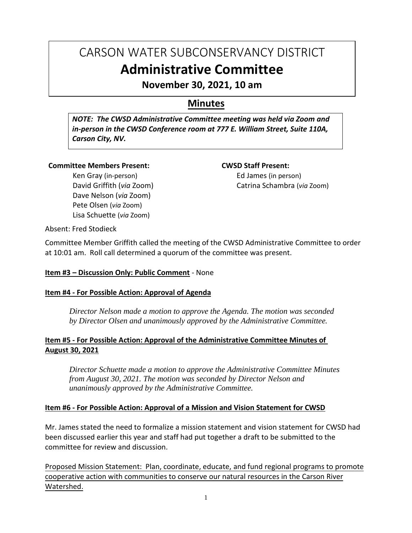# CARSON WATER SUBCONSERVANCY DISTRICT **Administrative Committee**

**November 30, 2021, 10 am**

# **Minutes**

*NOTE: The CWSD Administrative Committee meeting was held via Zoom and in-person in the CWSD Conference room at 777 E. William Street, Suite 110A, Carson City, NV.*

#### **Committee Members Present:**

Ken Gray (in-person) David Griffith (*via* Zoom) Dave Nelson (*via* Zoom) Pete Olsen (*via* Zoom) Lisa Schuette (*via* Zoom)

#### **CWSD Staff Present:**

Ed James (in person) Catrina Schambra (*via* Zoom)

Absent: Fred Stodieck

Committee Member Griffith called the meeting of the CWSD Administrative Committee to order at 10:01 am. Roll call determined a quorum of the committee was present.

#### **Item #3 – Discussion Only: Public Comment** - None

#### **Item #4 - For Possible Action: Approval of Agenda**

*Director Nelson made a motion to approve the Agenda. The motion was seconded by Director Olsen and unanimously approved by the Administrative Committee.*

#### **Item #5 - For Possible Action: Approval of the Administrative Committee Minutes of August 30, 2021**

*Director Schuette made a motion to approve the Administrative Committee Minutes from August 30, 2021. The motion was seconded by Director Nelson and unanimously approved by the Administrative Committee.*

#### **Item #6 - For Possible Action: Approval of a Mission and Vision Statement for CWSD**

Mr. James stated the need to formalize a mission statement and vision statement for CWSD had been discussed earlier this year and staff had put together a draft to be submitted to the committee for review and discussion.

Proposed Mission Statement: Plan, coordinate, educate, and fund regional programs to promote cooperative action with communities to conserve our natural resources in the Carson River Watershed.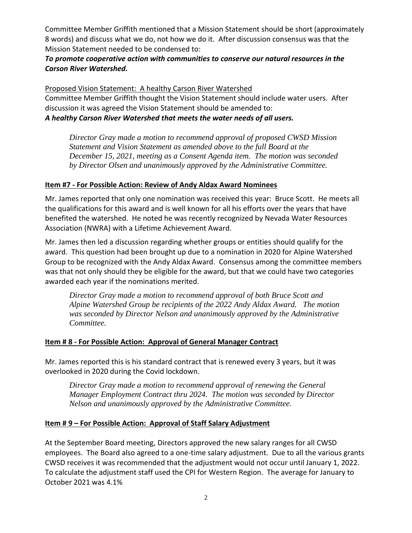Committee Member Griffith mentioned that a Mission Statement should be short (approximately 8 words) and discuss what we do, not how we do it. After discussion consensus was that the Mission Statement needed to be condensed to:

### *To promote cooperative action with communities to conserve our natural resources in the Carson River Watershed.*

Proposed Vision Statement: A healthy Carson River Watershed

Committee Member Griffith thought the Vision Statement should include water users. After discussion it was agreed the Vision Statement should be amended to: *A healthy Carson River Watershed that meets the water needs of all users.*

*Director Gray made a motion to recommend approval of proposed CWSD Mission Statement and Vision Statement as amended above to the full Board at the December 15, 2021, meeting as a Consent Agenda item. The motion was seconded by Director Olsen and unanimously approved by the Administrative Committee.*

## **Item #7 - For Possible Action: Review of Andy Aldax Award Nominees**

Mr. James reported that only one nomination was received this year: Bruce Scott. He meets all the qualifications for this award and is well known for all his efforts over the years that have benefited the watershed. He noted he was recently recognized by Nevada Water Resources Association (NWRA) with a Lifetime Achievement Award.

Mr. James then led a discussion regarding whether groups or entities should qualify for the award. This question had been brought up due to a nomination in 2020 for Alpine Watershed Group to be recognized with the Andy Aldax Award. Consensus among the committee members was that not only should they be eligible for the award, but that we could have two categories awarded each year if the nominations merited.

*Director Gray made a motion to recommend approval of both Bruce Scott and Alpine Watershed Group be recipients of the 2022 Andy Aldax Award. The motion was seconded by Director Nelson and unanimously approved by the Administrative Committee.*

# **Item # 8 - For Possible Action: Approval of General Manager Contract**

Mr. James reported this is his standard contract that is renewed every 3 years, but it was overlooked in 2020 during the Covid lockdown.

*Director Gray made a motion to recommend approval of renewing the General Manager Employment Contract thru 2024. The motion was seconded by Director Nelson and unanimously approved by the Administrative Committee.*

#### **Item # 9 – For Possible Action: Approval of Staff Salary Adjustment**

At the September Board meeting, Directors approved the new salary ranges for all CWSD employees. The Board also agreed to a one-time salary adjustment. Due to all the various grants CWSD receives it was recommended that the adjustment would not occur until January 1, 2022. To calculate the adjustment staff used the CPI for Western Region. The average for January to October 2021 was 4.1%